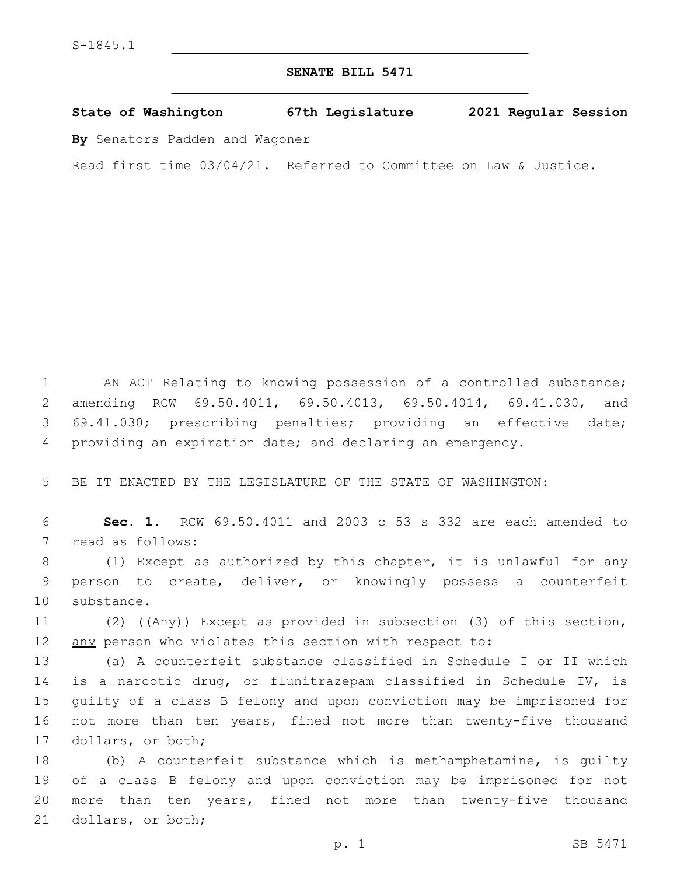## **SENATE BILL 5471**

**State of Washington 67th Legislature 2021 Regular Session**

**By** Senators Padden and Wagoner

Read first time 03/04/21. Referred to Committee on Law & Justice.

 AN ACT Relating to knowing possession of a controlled substance; amending RCW 69.50.4011, 69.50.4013, 69.50.4014, 69.41.030, and 69.41.030; prescribing penalties; providing an effective date; providing an expiration date; and declaring an emergency.

5 BE IT ENACTED BY THE LEGISLATURE OF THE STATE OF WASHINGTON:

6 **Sec. 1.** RCW 69.50.4011 and 2003 c 53 s 332 are each amended to 7 read as follows:

8 (1) Except as authorized by this chapter, it is unlawful for any 9 person to create, deliver, or knowingly possess a counterfeit 10 substance.

11 (2) ((Any)) Except as provided in subsection (3) of this section, 12 any person who violates this section with respect to:

13 (a) A counterfeit substance classified in Schedule I or II which 14 is a narcotic drug, or flunitrazepam classified in Schedule IV, is 15 guilty of a class B felony and upon conviction may be imprisoned for 16 not more than ten years, fined not more than twenty-five thousand 17 dollars, or both;

 (b) A counterfeit substance which is methamphetamine, is guilty of a class B felony and upon conviction may be imprisoned for not more than ten years, fined not more than twenty-five thousand 21 dollars, or both;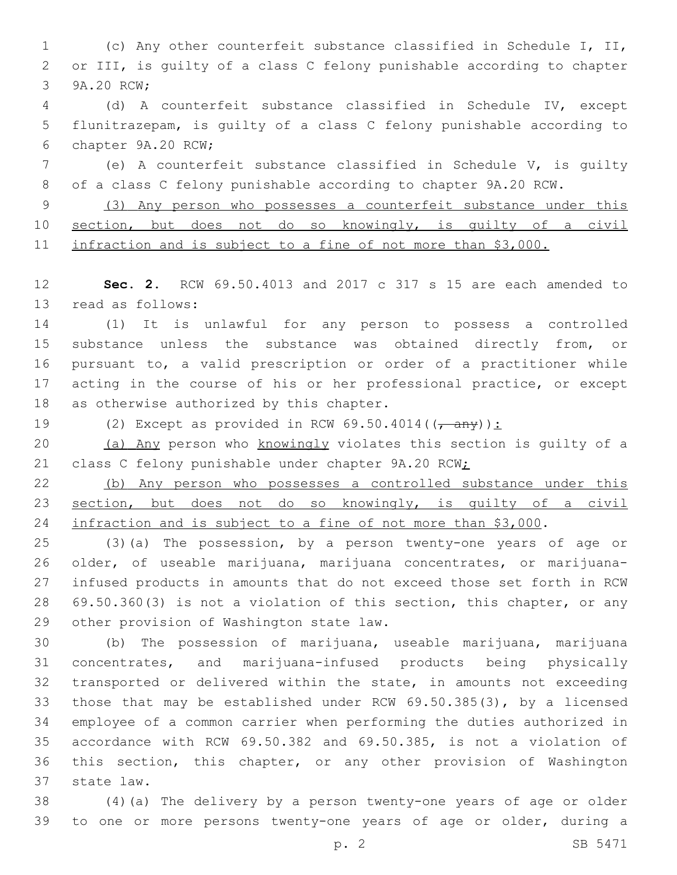(c) Any other counterfeit substance classified in Schedule I, II, or III, is guilty of a class C felony punishable according to chapter 3 9A.20 RCW;

 (d) A counterfeit substance classified in Schedule IV, except flunitrazepam, is guilty of a class C felony punishable according to 6 chapter 9A.20 RCW;

 (e) A counterfeit substance classified in Schedule V, is guilty of a class C felony punishable according to chapter 9A.20 RCW.

 (3) Any person who possesses a counterfeit substance under this section, but does not do so knowingly, is guilty of a civil infraction and is subject to a fine of not more than \$3,000.

 **Sec. 2.** RCW 69.50.4013 and 2017 c 317 s 15 are each amended to 13 read as follows:

 (1) It is unlawful for any person to possess a controlled 15 substance unless the substance was obtained directly from, or pursuant to, a valid prescription or order of a practitioner while acting in the course of his or her professional practice, or except 18 as otherwise authorized by this chapter.

19 (2) Except as provided in RCW  $69.50.4014((\frac{\text{any}}{\text{any}}))$ :

20 (a) Any person who knowingly violates this section is guilty of a 21 class C felony punishable under chapter 9A.20 RCW;

 (b) Any person who possesses a controlled substance under this section, but does not do so knowingly, is guilty of a civil 24 infraction and is subject to a fine of not more than \$3,000.

 (3)(a) The possession, by a person twenty-one years of age or older, of useable marijuana, marijuana concentrates, or marijuana- infused products in amounts that do not exceed those set forth in RCW 69.50.360(3) is not a violation of this section, this chapter, or any 29 other provision of Washington state law.

 (b) The possession of marijuana, useable marijuana, marijuana concentrates, and marijuana-infused products being physically transported or delivered within the state, in amounts not exceeding those that may be established under RCW 69.50.385(3), by a licensed employee of a common carrier when performing the duties authorized in accordance with RCW 69.50.382 and 69.50.385, is not a violation of this section, this chapter, or any other provision of Washington 37 state law.

 (4)(a) The delivery by a person twenty-one years of age or older to one or more persons twenty-one years of age or older, during a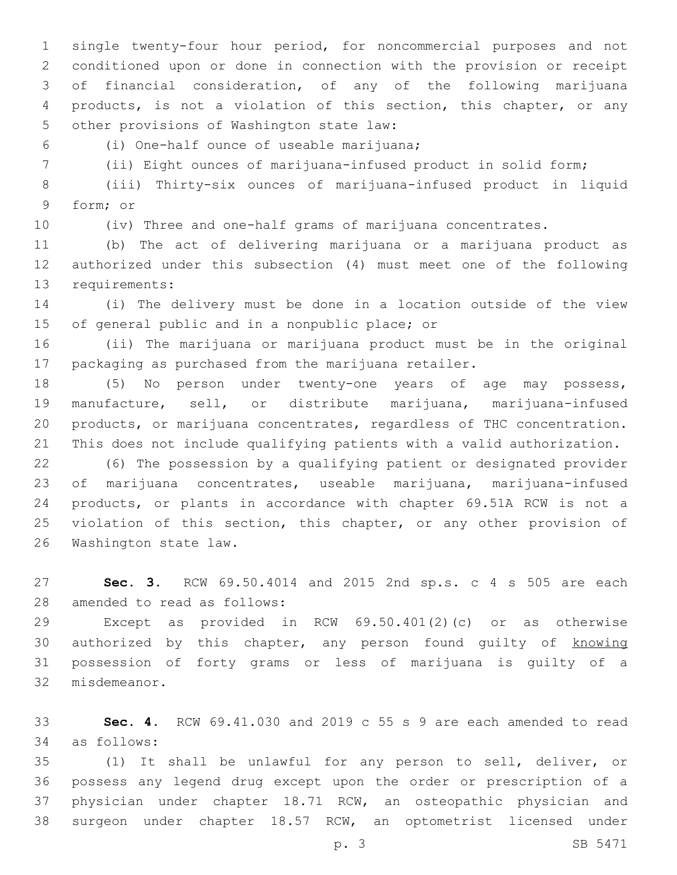single twenty-four hour period, for noncommercial purposes and not conditioned upon or done in connection with the provision or receipt of financial consideration, of any of the following marijuana products, is not a violation of this section, this chapter, or any 5 other provisions of Washington state law:

(i) One-half ounce of useable marijuana;6

(ii) Eight ounces of marijuana-infused product in solid form;

 (iii) Thirty-six ounces of marijuana-infused product in liquid 9 form; or

(iv) Three and one-half grams of marijuana concentrates.

 (b) The act of delivering marijuana or a marijuana product as authorized under this subsection (4) must meet one of the following 13 requirements:

 (i) The delivery must be done in a location outside of the view 15 of general public and in a nonpublic place; or

 (ii) The marijuana or marijuana product must be in the original packaging as purchased from the marijuana retailer.

 (5) No person under twenty-one years of age may possess, manufacture, sell, or distribute marijuana, marijuana-infused products, or marijuana concentrates, regardless of THC concentration. This does not include qualifying patients with a valid authorization.

 (6) The possession by a qualifying patient or designated provider of marijuana concentrates, useable marijuana, marijuana-infused products, or plants in accordance with chapter 69.51A RCW is not a 25 violation of this section, this chapter, or any other provision of 26 Washington state law.

 **Sec. 3.** RCW 69.50.4014 and 2015 2nd sp.s. c 4 s 505 are each 28 amended to read as follows:

 Except as provided in RCW 69.50.401(2)(c) or as otherwise 30 authorized by this chapter, any person found guilty of knowing possession of forty grams or less of marijuana is guilty of a 32 misdemeanor.

 **Sec. 4.** RCW 69.41.030 and 2019 c 55 s 9 are each amended to read as follows:34

 (1) It shall be unlawful for any person to sell, deliver, or possess any legend drug except upon the order or prescription of a physician under chapter 18.71 RCW, an osteopathic physician and surgeon under chapter 18.57 RCW, an optometrist licensed under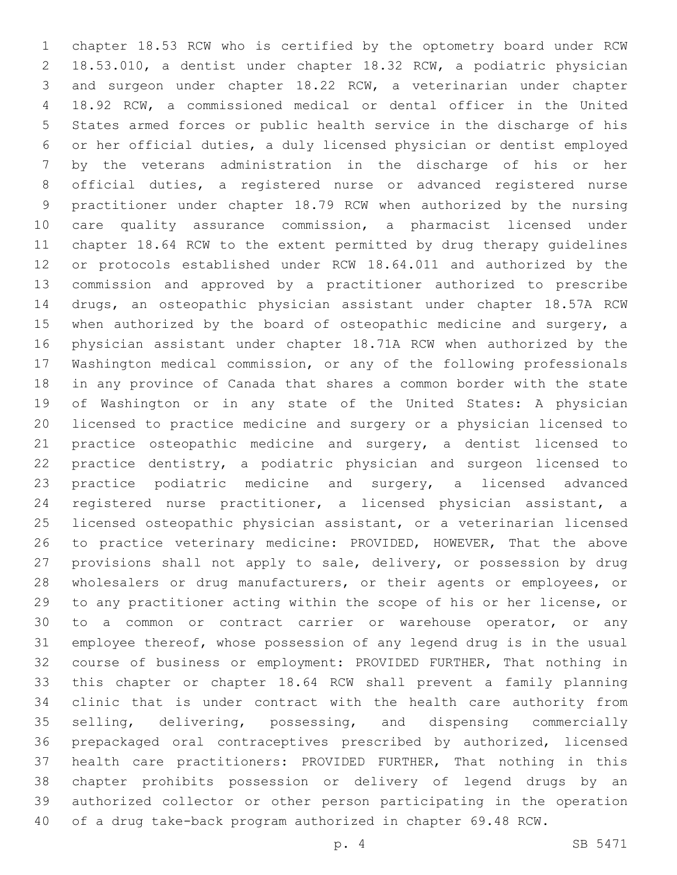chapter 18.53 RCW who is certified by the optometry board under RCW 18.53.010, a dentist under chapter 18.32 RCW, a podiatric physician and surgeon under chapter 18.22 RCW, a veterinarian under chapter 18.92 RCW, a commissioned medical or dental officer in the United States armed forces or public health service in the discharge of his or her official duties, a duly licensed physician or dentist employed by the veterans administration in the discharge of his or her official duties, a registered nurse or advanced registered nurse practitioner under chapter 18.79 RCW when authorized by the nursing care quality assurance commission, a pharmacist licensed under chapter 18.64 RCW to the extent permitted by drug therapy guidelines or protocols established under RCW 18.64.011 and authorized by the commission and approved by a practitioner authorized to prescribe drugs, an osteopathic physician assistant under chapter 18.57A RCW when authorized by the board of osteopathic medicine and surgery, a physician assistant under chapter 18.71A RCW when authorized by the Washington medical commission, or any of the following professionals in any province of Canada that shares a common border with the state of Washington or in any state of the United States: A physician licensed to practice medicine and surgery or a physician licensed to practice osteopathic medicine and surgery, a dentist licensed to practice dentistry, a podiatric physician and surgeon licensed to practice podiatric medicine and surgery, a licensed advanced registered nurse practitioner, a licensed physician assistant, a licensed osteopathic physician assistant, or a veterinarian licensed to practice veterinary medicine: PROVIDED, HOWEVER, That the above 27 provisions shall not apply to sale, delivery, or possession by drug wholesalers or drug manufacturers, or their agents or employees, or to any practitioner acting within the scope of his or her license, or to a common or contract carrier or warehouse operator, or any employee thereof, whose possession of any legend drug is in the usual course of business or employment: PROVIDED FURTHER, That nothing in this chapter or chapter 18.64 RCW shall prevent a family planning clinic that is under contract with the health care authority from selling, delivering, possessing, and dispensing commercially prepackaged oral contraceptives prescribed by authorized, licensed health care practitioners: PROVIDED FURTHER, That nothing in this chapter prohibits possession or delivery of legend drugs by an authorized collector or other person participating in the operation of a drug take-back program authorized in chapter 69.48 RCW.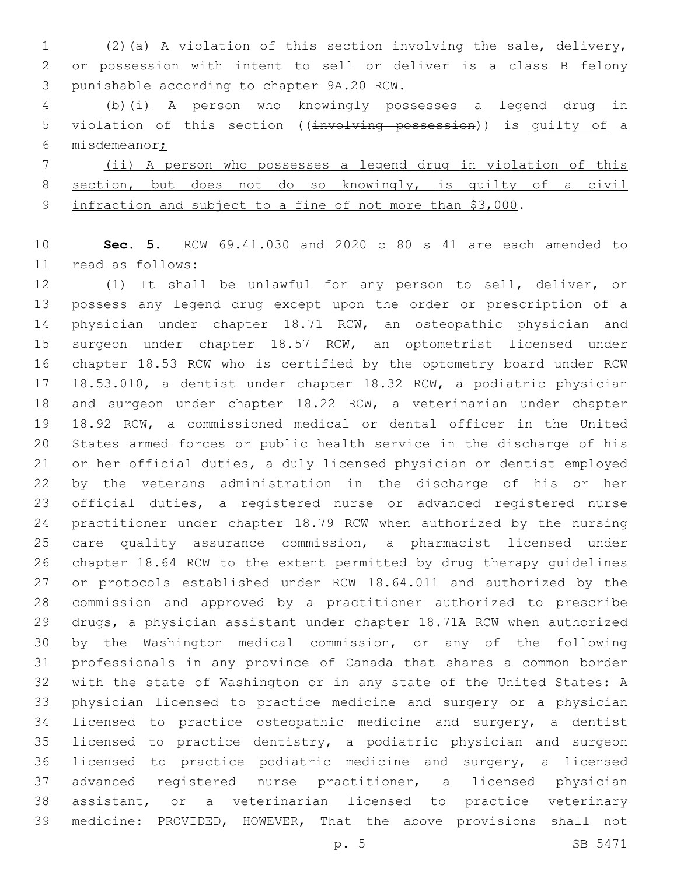(2)(a) A violation of this section involving the sale, delivery, or possession with intent to sell or deliver is a class B felony 3 punishable according to chapter 9A.20 RCW.

 (b)(i) A person who knowingly possesses a legend drug in 5 violation of this section ((involving possession)) is quilty of a misdemeanor;

 (ii) A person who possesses a legend drug in violation of this section, but does not do so knowingly, is guilty of a civil 9 infraction and subject to a fine of not more than \$3,000.

 **Sec. 5.** RCW 69.41.030 and 2020 c 80 s 41 are each amended to read as follows:11

 (1) It shall be unlawful for any person to sell, deliver, or possess any legend drug except upon the order or prescription of a physician under chapter 18.71 RCW, an osteopathic physician and surgeon under chapter 18.57 RCW, an optometrist licensed under chapter 18.53 RCW who is certified by the optometry board under RCW 18.53.010, a dentist under chapter 18.32 RCW, a podiatric physician and surgeon under chapter 18.22 RCW, a veterinarian under chapter 18.92 RCW, a commissioned medical or dental officer in the United States armed forces or public health service in the discharge of his or her official duties, a duly licensed physician or dentist employed by the veterans administration in the discharge of his or her official duties, a registered nurse or advanced registered nurse practitioner under chapter 18.79 RCW when authorized by the nursing care quality assurance commission, a pharmacist licensed under chapter 18.64 RCW to the extent permitted by drug therapy guidelines or protocols established under RCW 18.64.011 and authorized by the commission and approved by a practitioner authorized to prescribe drugs, a physician assistant under chapter 18.71A RCW when authorized by the Washington medical commission, or any of the following professionals in any province of Canada that shares a common border with the state of Washington or in any state of the United States: A physician licensed to practice medicine and surgery or a physician licensed to practice osteopathic medicine and surgery, a dentist licensed to practice dentistry, a podiatric physician and surgeon licensed to practice podiatric medicine and surgery, a licensed advanced registered nurse practitioner, a licensed physician assistant, or a veterinarian licensed to practice veterinary medicine: PROVIDED, HOWEVER, That the above provisions shall not